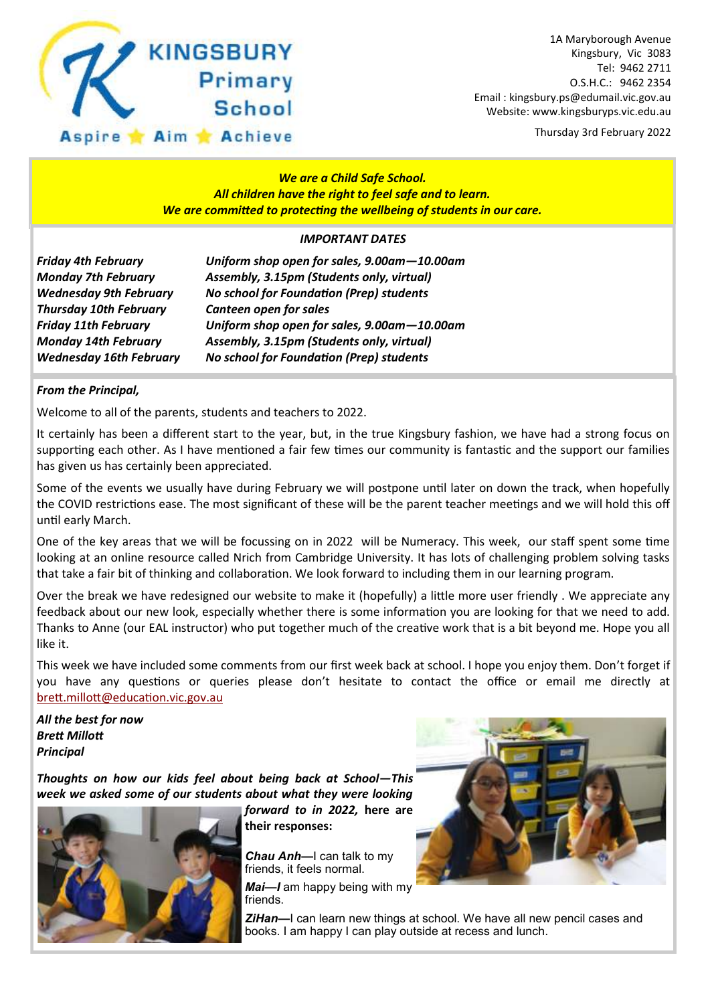

1A Maryborough Avenue Kingsbury, Vic 3083 Tel: 9462 2711 O.S.H.C.: 9462 2354 Email : kingsbury.ps@edumail.vic.gov.au Website: www.kingsburyps.vic.edu.au

Thursday 3rd February 2022

#### *We are a Child Safe School. All children have the right to feel safe and to learn. We are committed to protecting the wellbeing of students in our care.*

#### *IMPORTANT DATES*

*Friday 4th February Uniform shop open for sales, 9.00am—10.00am Monday 7th February Assembly, 3.15pm (Students only, virtual) Wednesday 9th February No school for Foundation (Prep) students Thursday 10th February Canteen open for sales Friday 11th February Uniform shop open for sales, 9.00am—10.00am Monday 14th February Assembly, 3.15pm (Students only, virtual) Wednesday 16th February No school for Foundation (Prep) students*

#### *From the Principal,*

Welcome to all of the parents, students and teachers to 2022.

It certainly has been a different start to the year, but, in the true Kingsbury fashion, we have had a strong focus on supporting each other. As I have mentioned a fair few times our community is fantastic and the support our families has given us has certainly been appreciated.

Some of the events we usually have during February we will postpone until later on down the track, when hopefully the COVID restrictions ease. The most significant of these will be the parent teacher meetings and we will hold this off until early March.

One of the key areas that we will be focussing on in 2022 will be Numeracy. This week, our staff spent some time looking at an online resource called Nrich from Cambridge University. It has lots of challenging problem solving tasks that take a fair bit of thinking and collaboration. We look forward to including them in our learning program.

Over the break we have redesigned our website to make it (hopefully) a little more user friendly . We appreciate any feedback about our new look, especially whether there is some information you are looking for that we need to add. Thanks to Anne (our EAL instructor) who put together much of the creative work that is a bit beyond me. Hope you all like it.

This week we have included some comments from our first week back at school. I hope you enjoy them. Don't forget if you have any questions or queries please don't hesitate to contact the office or email me directly at [brett.millott@education.vic.gov.au](mailto:brett.millott@education.vic.gov.au)

*All the best for now Brett Millott Principal*

*Thoughts on how our kids feel about being back at School—This week we asked some of our students about what they were looking* 



*forward to in 2022,* **here are their responses:**

*Chau Anh—*I can talk to my friends, it feels normal.

*Mai—I* am happy being with my friends.



**ZiHan-I** can learn new things at school. We have all new pencil cases and books. I am happy I can play outside at recess and lunch.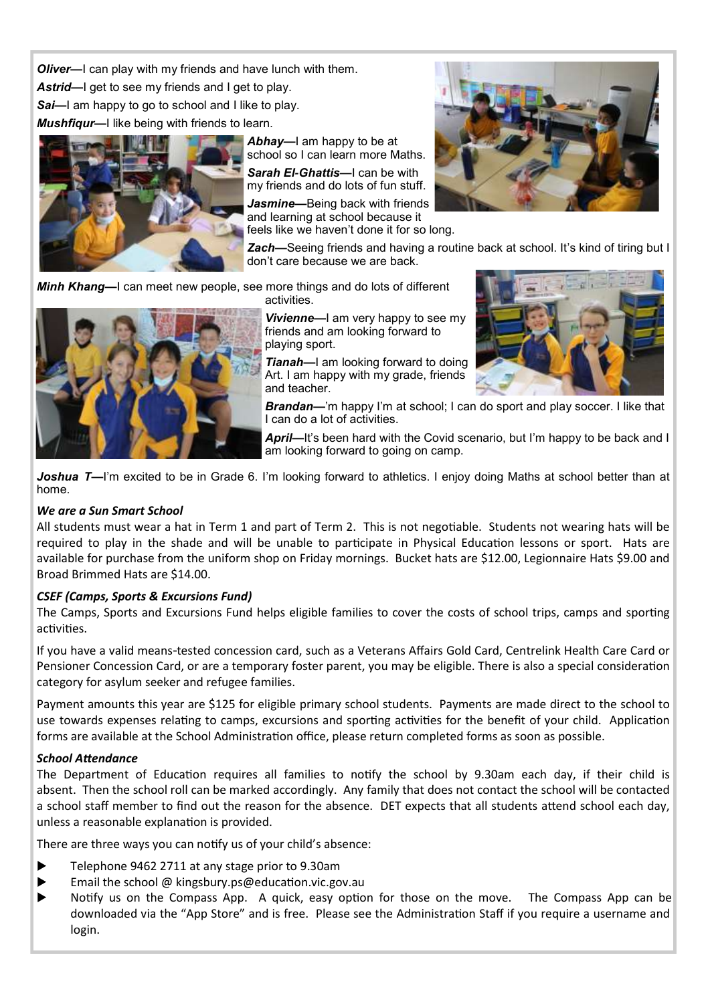*Oliver—*I can play with my friends and have lunch with them. Astrid—I get to see my friends and I get to play.

**Sai—I** am happy to go to school and I like to play.

*Mushfiqur—*I like being with friends to learn.



*Abhay—*I am happy to be at school so I can learn more Maths. *Sarah El-Ghattis—*I can be with my friends and do lots of fun stuff.

*Jasmine—*Being back with friends and learning at school because it

feels like we haven't done it for so long.

*Zach—*Seeing friends and having a routine back at school. It's kind of tiring but I don't care because we are back.

*Minh Khang—*I can meet new people, see more things and do lots of different activities.



*Vivienne—*I am very happy to see my friends and am looking forward to playing sport.

*Tianah—*I am looking forward to doing Art. I am happy with my grade, friends and teacher.



**Brandan—**'m happy I'm at school; I can do sport and play soccer. I like that I can do a lot of activities.

*April—*It's been hard with the Covid scenario, but I'm happy to be back and I am looking forward to going on camp.

Joshua T—I'm excited to be in Grade 6. I'm looking forward to athletics. I enjoy doing Maths at school better than at home.

#### *We are a Sun Smart School*

All students must wear a hat in Term 1 and part of Term 2. This is not negotiable. Students not wearing hats will be required to play in the shade and will be unable to participate in Physical Education lessons or sport. Hats are available for purchase from the uniform shop on Friday mornings. Bucket hats are \$12.00, Legionnaire Hats \$9.00 and Broad Brimmed Hats are \$14.00.

#### *CSEF (Camps, Sports & Excursions Fund)*

The Camps, Sports and Excursions Fund helps eligible families to cover the costs of school trips, camps and sporting activities.

If you have a valid means-tested concession card, such as a Veterans Affairs Gold Card, Centrelink Health Care Card or Pensioner Concession Card, or are a temporary foster parent, you may be eligible. There is also a special consideration category for asylum seeker and refugee families.

Payment amounts this year are \$125 for eligible primary school students. Payments are made direct to the school to use towards expenses relating to camps, excursions and sporting activities for the benefit of your child. Application forms are available at the School Administration office, please return completed forms as soon as possible.

#### *School Attendance*

The Department of Education requires all families to notify the school by 9.30am each day, if their child is absent. Then the school roll can be marked accordingly. Any family that does not contact the school will be contacted a school staff member to find out the reason for the absence. DET expects that all students attend school each day, unless a reasonable explanation is provided.

There are three ways you can notify us of your child's absence:

- ▶ Telephone 9462 2711 at any stage prior to 9.30am
- Email the school  $\omega$  kingsbury.ps  $\omega$  education.vic.gov.au
- Notify us on the Compass App. A quick, easy option for those on the move. The Compass App can be downloaded via the "App Store" and is free. Please see the Administration Staff if you require a username and login.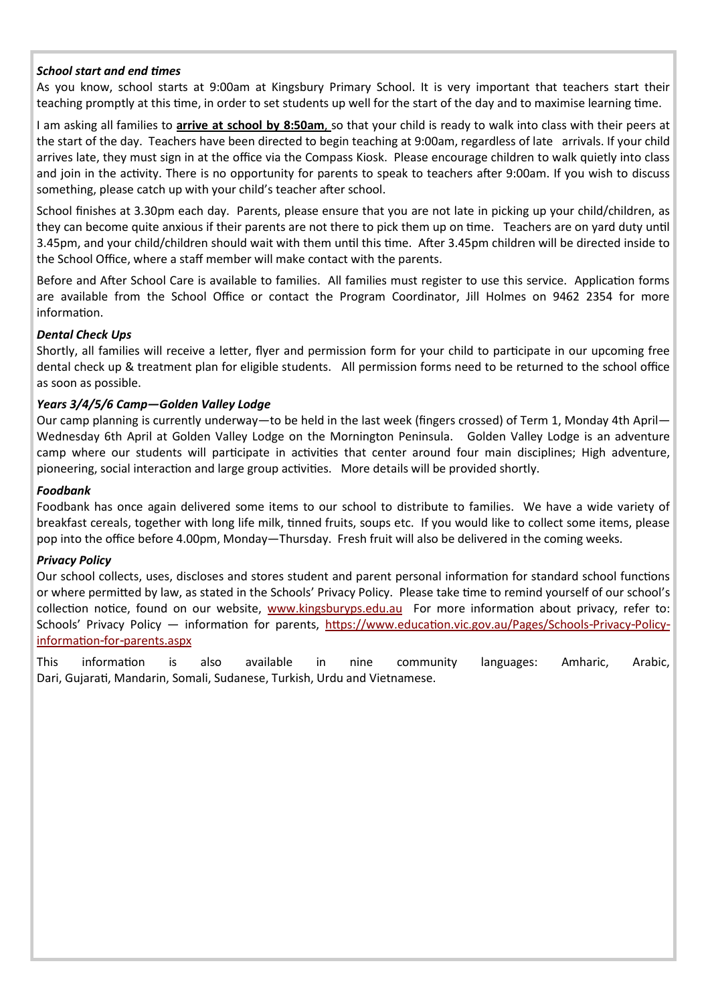#### *School start and end times*

As you know, school starts at 9:00am at Kingsbury Primary School. It is very important that teachers start their teaching promptly at this time, in order to set students up well for the start of the day and to maximise learning time.

I am asking all families to **arrive at school by 8:50am**, so that your child is ready to walk into class with their peers at the start of the day. Teachers have been directed to begin teaching at 9:00am, regardless of late arrivals. If your child arrives late, they must sign in at the office via the Compass Kiosk. Please encourage children to walk quietly into class and join in the activity. There is no opportunity for parents to speak to teachers after 9:00am. If you wish to discuss something, please catch up with your child's teacher after school.

School finishes at 3.30pm each day. Parents, please ensure that you are not late in picking up your child/children, as they can become quite anxious if their parents are not there to pick them up on time. Teachers are on yard duty until 3.45pm, and your child/children should wait with them until this time. After 3.45pm children will be directed inside to the School Office, where a staff member will make contact with the parents.

Before and After School Care is available to families. All families must register to use this service. Application forms are available from the School Office or contact the Program Coordinator, Jill Holmes on 9462 2354 for more information.

#### *Dental Check Ups*

Shortly, all families will receive a letter, flyer and permission form for your child to participate in our upcoming free dental check up & treatment plan for eligible students. All permission forms need to be returned to the school office as soon as possible.

#### *Years 3/4/5/6 Camp—Golden Valley Lodge*

Our camp planning is currently underway—to be held in the last week (fingers crossed) of Term 1, Monday 4th April— Wednesday 6th April at Golden Valley Lodge on the Mornington Peninsula. Golden Valley Lodge is an adventure camp where our students will participate in activities that center around four main disciplines; High adventure, pioneering, social interaction and large group activities. More details will be provided shortly.

#### *Foodbank*

Foodbank has once again delivered some items to our school to distribute to families. We have a wide variety of breakfast cereals, together with long life milk, tinned fruits, soups etc. If you would like to collect some items, please pop into the office before 4.00pm, Monday—Thursday. Fresh fruit will also be delivered in the coming weeks.

#### *Privacy Policy*

Our school collects, uses, discloses and stores student and parent personal information for standard school functions or where permitted by law, as stated in the Schools' Privacy Policy. Please take time to remind yourself of our school's collection notice, found on our website, [www.kingsburyps.edu.au](http://www.kingsburyps.edu.au) For more information about privacy, refer to: Schools' Privacy Policy — information for parents, [https://www.education.vic.gov.au/Pages/Schools-Privacy-Policy](https://www.education.vic.gov.au/Pages/Schools-Privacy-Policy-information-for-parents.aspx)[information-for-parents.aspx](https://www.education.vic.gov.au/Pages/Schools-Privacy-Policy-information-for-parents.aspx)

This information is also available in nine community languages: Amharic, Arabic, Dari, Gujarati, Mandarin, Somali, Sudanese, Turkish, Urdu and Vietnamese.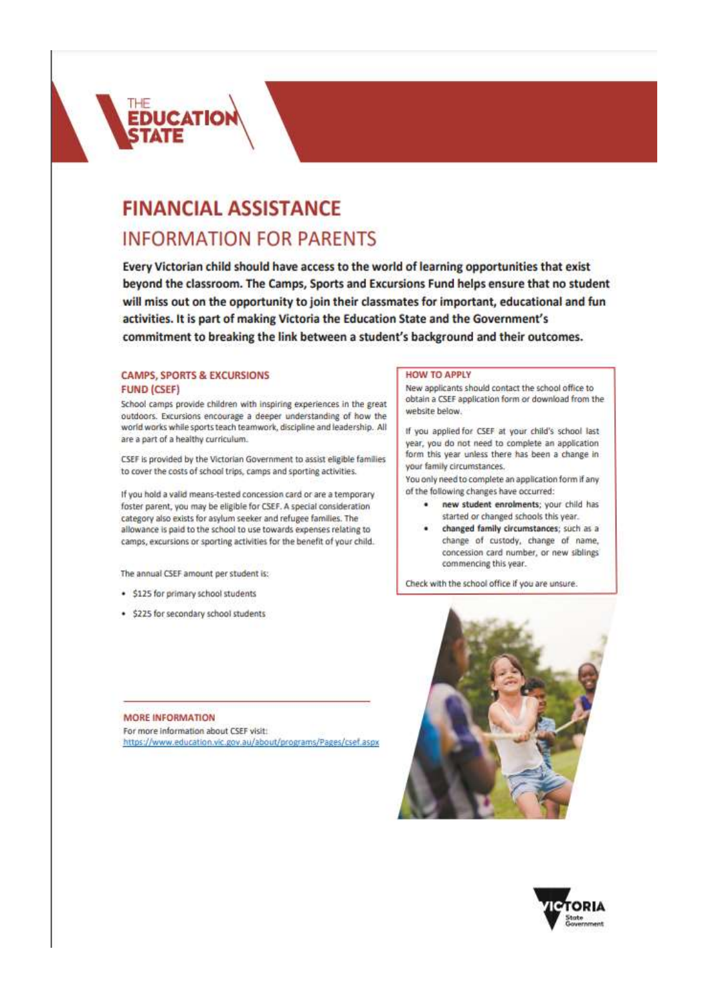

# **FINANCIAL ASSISTANCE INFORMATION FOR PARENTS**

Every Victorian child should have access to the world of learning opportunities that exist beyond the classroom. The Camps, Sports and Excursions Fund helps ensure that no student will miss out on the opportunity to join their classmates for important, educational and fun activities. It is part of making Victoria the Education State and the Government's commitment to breaking the link between a student's background and their outcomes.

#### **CAMPS, SPORTS & EXCURSIONS FUND (CSEF)**

School camps provide children with inspiring experiences in the great outdoors. Excursions encourage a deeper understanding of how the world works while sports teach teamwork, discipline and leadership. All are a part of a healthy curriculum.

CSEF is provided by the Victorian Government to assist eligible families to cover the costs of school trips, camps and sporting activities.

If you hold a valid means-tested concession card or are a temporary foster parent, you may be eligible for CSEF. A special consideration category also exists for asylum seeker and refugee families. The allowance is paid to the school to use towards expenses relating to camps, excursions or sporting activities for the benefit of your child.

The annual CSEF amount per student is:

- · \$125 for primary school students
- · \$225 for secondary school students

#### MORE INFORMATION

For more information about CSEF visit: https://www.education.vic.gov.au/about/programs/Pages/csef.aspx

#### **HOW TO APPLY**

New applicants should contact the school office to obtain a CSEF application form or download from the website below.

If you applied for CSEF at your child's school last year, you do not need to complete an application form this year unless there has been a change in your family circumstances.

You only need to complete an application form if any of the following changes have occurred:

- . new student enrolments; your child has started or changed schools this year.
- changed family circumstances; such as a change of custody, change of name, concession card number, or new siblings commencing this year.

Check with the school office if you are unsure.



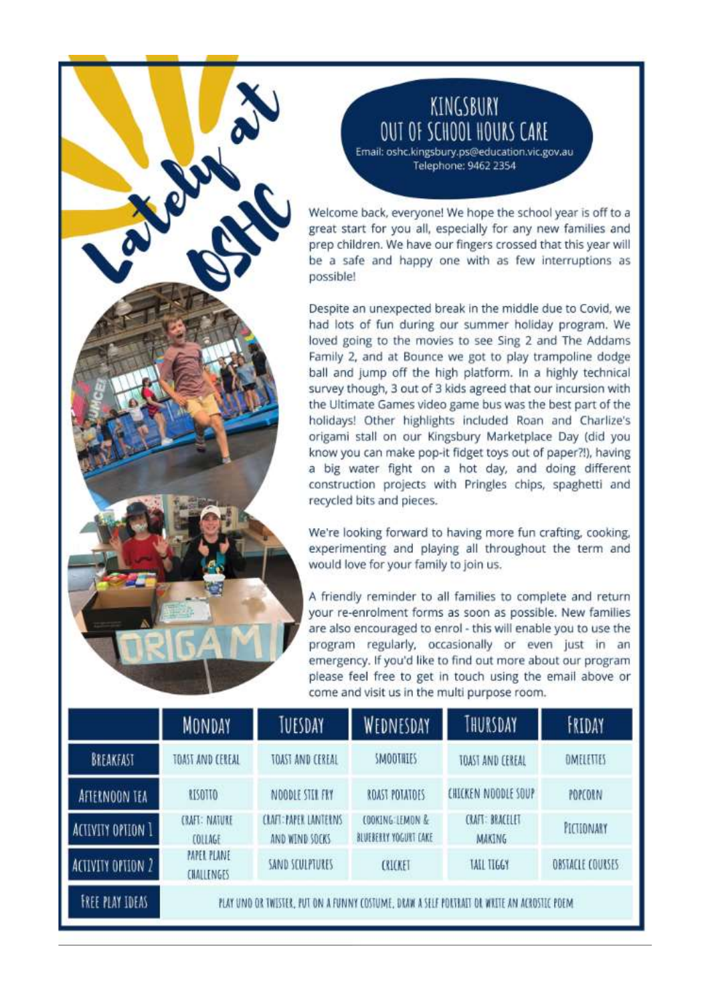## KINGSBURY **OUT OF SCHOOL HOURS CARE**

Email: oshc.kingsbury.ps@education.vic.gov.au Telephone: 9462 2354

Welcome back, everyone! We hope the school year is off to a great start for you all, especially for any new families and prep children. We have our fingers crossed that this year will be a safe and happy one with as few interruptions as possible!

Despite an unexpected break in the middle due to Covid, we had lots of fun during our summer holiday program. We loved going to the movies to see Sing 2 and The Addams Family 2, and at Bounce we got to play trampoline dodge ball and jump off the high platform. In a highly technical survey though, 3 out of 3 kids agreed that our incursion with the Ultimate Games video game bus was the best part of the holidays! Other highlights included Roan and Charlize's origami stall on our Kingsbury Marketplace Day (did you know you can make pop-it fidget toys out of paper?!), having a big water fight on a hot day, and doing different construction projects with Pringles chips, spaghetti and recycled bits and pieces.

We're looking forward to having more fun crafting, cooking, experimenting and playing all throughout the term and would love for your family to join us.

A friendly reminder to all families to complete and return your re-enrolment forms as soon as possible. New families are also encouraged to enrol - this will enable you to use the program regularly, occasionally or even just in an emergency. If you'd like to find out more about our program please feel free to get in touch using the email above or come and visit us in the multi purpose room.

|                          | <b>MONDAY</b>                                                                               | TUESDAY                                        | WEDNESDAY                                 | THURSDAY                                | FRIDAY           |
|--------------------------|---------------------------------------------------------------------------------------------|------------------------------------------------|-------------------------------------------|-----------------------------------------|------------------|
| BREAKFAST                | TOAST AND CEREAL                                                                            | TOAST AND CEREAL                               | <b>SMOOTHLES</b>                          | TOAST AND CEREAL                        | <b>DMELETTES</b> |
| AFTERNOON TEA            | <b>RISOTTO</b>                                                                              | NOODLE STIL FRY                                | ROAST POTATOES                            | CHICKEN NOODLE SOUP                     | POPCORN          |
| ACTIVITY OPTION 1        | <b>CRAFT: NATURE</b><br>COLLAGE                                                             | <b>CLAFT: PAPER LANTERNS</b><br>AND WIND SOCKS | COOKING: LEMON &<br>BLUEBERRY YOGURT CAKE | <b>CRAFT: BRACELET</b><br><b>MAKING</b> | PICTIONARY       |
| <b>ACTIVITY OPTION 2</b> | <b>PAPER PLANE</b><br><b>CHALLENGES</b>                                                     | SAND SCULPTURES                                | CRICKET                                   | <b>TAIL TIGGY</b>                       | OBSTACLE COURSES |
| <b>FREE PLAY IDEAS</b>   | PLAY UNO OR TWESTER, PUT ON A FUNNY COSTUME, DRAW A SELF PORTRAIT OR WRITE AN ACROSILE POEM |                                                |                                           |                                         |                  |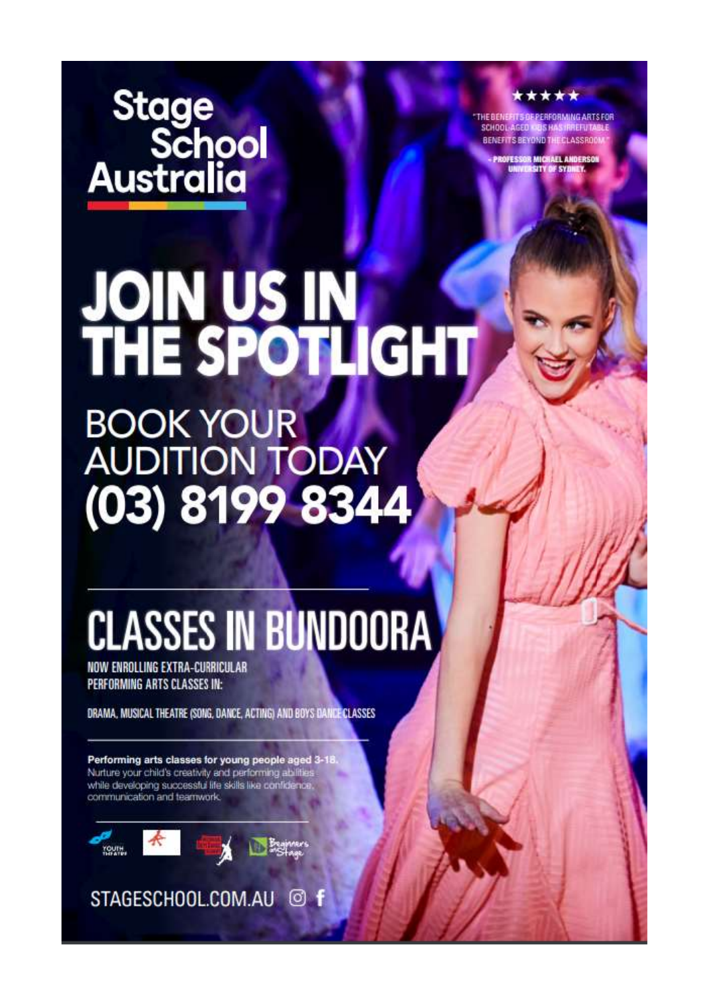Stage<br>School<br>Australia

\*\*\*\*\*

THE BENEFIT SOFPERFORMING ARTS FOR<br>SCHOOL AGED INDIS HAS IRREFITABLE BENEFITS BEYOND THE CLASSROOM

PROFESSOR MICHAEL ANDERSON<br>UNIVERSITY OF SYDNEY.

# **JOIN US IN<br>THE SPOTLIGHT**

BOOK YOUR<br>AUDITION TODAY  $(03) 8199 8344$ 

# **CLASSES IN BUNDOORA**

NOW ENROLLING EXTRA-CURRICULAR **PERFORMING ARTS CLASSES IN:** 

DRAMA, MUSICAL THEATRE (SONG, DANCE, ACTING) AND BOYS DANCE CLASSES

Performing arts classes for young people aged 3-18 Nurture your child's creativity and performing abilities while developing successful life skills like confidenc communication and teamwork.



STAGESCHOOL.COM.AU @ f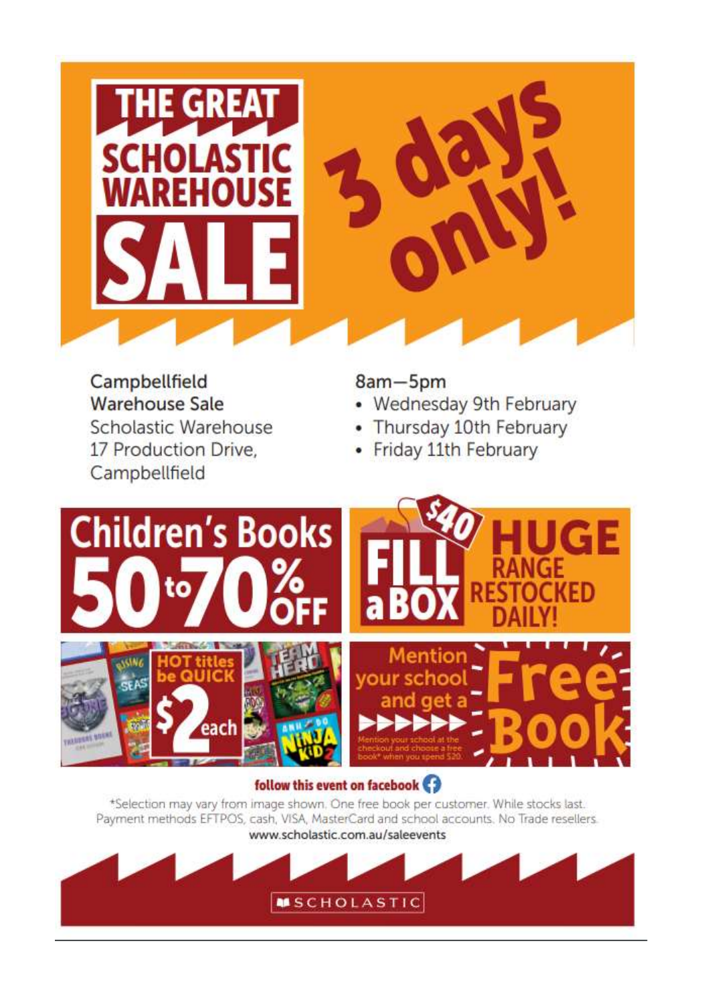

Campbellfield **Warehouse Sale** Scholastic Warehouse 17 Production Drive. Campbellfield

8am-5pm

- Wednesday 9th February  $\bullet$
- Thursday 10th February  $\bullet$
- Friday 11th February  $\bullet$



## follow this event on facebook

\*Selection may vary from image shown. One free book per customer. While stocks last. Payment methods EFTPOS, cash, VISA, MasterCard and school accounts. No Trade resellers.

www.scholastic.com.au/saleevents